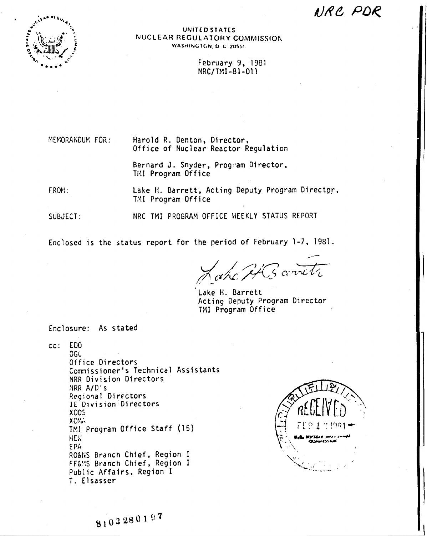AIRC POR



UNITED STATES NUCLEAR REGULATORY COMMISSION **WASHINGTON, D. C. 2055!-**

> February 9, 1981 NRC/TMI-81-011

MEMORANDUM FOR:

Harold R. Denton, Director, Office of Nuclear Reactor Regulation

Bernard J. Snyder, Program Director, TMI Program Office

Lake H. Barrett, Acting Deputy Program Director, FROM: TMI Program Office

NRC TMI PROGRAM OFFICE WEEKLY STATUS REPORT SUBJECT:

Enclosed is the status report for the period of February 1-7, 1981.

 $\zeta$ s cerviti

Lake H. Barrett Acting Deputy Program Director TMI Program Office

Enclosure: As stated

cc: EDO OGL Office Directors Commissioner's Technical Assistants NRR Division Directors NRR A/D's Regional Directors IE Division Directors **X005**  $X0:U$ TMI Program Office Staff (15) HEW. EPA RO&NS Branch Chief, Region I FF&MS Branch Chief, Region I Public Affairs, Region I T. Elsasser

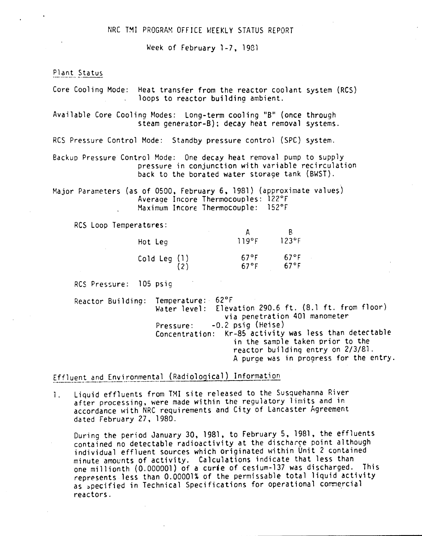Week of February 1-7. 1981

Plant Status

Core Cooling Mode: Heat transfer from the reactor coolant system (RCS) loops to reactor building ambient.

Available Core Cooling Nodes: Long-term cooling "B" (once through steam generator-B); decay heat removal systems.

RCS Pressure Control Mode: Standby pressure control (SPC) system.

Backup Pressure Control Mode: One decay heat removal pump to supply pressure in conjunction with variable recirculation back to the borated water storage tank (BWST).

Major Parameters (as of 0500, February 6, 1981) (approximate values) Average Incore Thermocouples: 122°F Maximum Incore Thermocouple: 152°F

RCS Loop Temperatures:

| Hot Leg                                                                                                   | 119°F                     | ĸ<br>$123^{\circ}$ F             |
|-----------------------------------------------------------------------------------------------------------|---------------------------|----------------------------------|
| $\begin{array}{c} \textsf{cold Leg} \end{array} \begin{array}{c} \textsf{(1)} \ \textsf{(2)} \end{array}$ | $67^{\circ}$ F<br>$67°$ F | $67^{\circ}$ F<br>$67^{\circ}$ F |

Res Pressure: 105 psig

Reactor Building: Temperature: 62°F Water level: Elevation 290.6 ft. (8.1 ft. from floor) via penetration 401 manometer Pressure: -0.2 psig (Heise) Concentration: Kr-85 activity was less than detectable in the sample taken prior to the reactor building entry on 2/3/81. A purge was in progress for the entry.

Effluent and Environmental (Radiological) Information

1. Liquid effluents from TMI site released to the Susquehanna River after processing. were made within the regulatory limits and in accordance with NRC requirements and City of Lancaster Agreement dated February 27. 1980.

During the period January 30. 1981. to February 5. 1981. the effluents contained no detectable radioactivity at the discharge point although individual effluent sources which originated within Unit 2 contained minute amounts of activity. Calculations indicate that less than one millionth (0.000001) of a curie of cesium-137 was discharged. This represents less than 0.00001% of the permissable total liquid activity as specified in Technical Specifications for operational commercial reactors.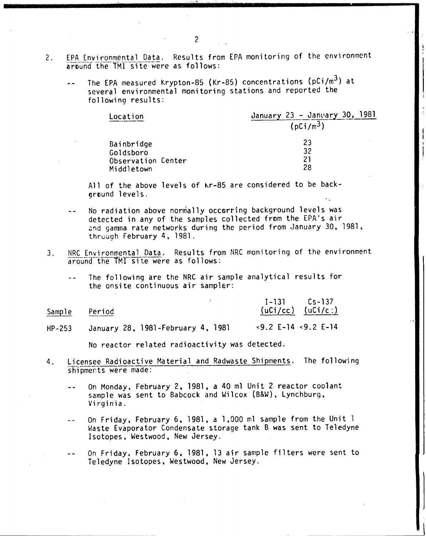- 2. EPA Environmental Data. Results from EPA monitoring of the environment around the TMI site were as follows:
	- The EPA measured Krypton-85 (Kr-85) concentrations (pCi/m<sup>3</sup>) at several environmental monitoring stations and reported the following results:

| Location           | January 23 - January 30, 1981 |  |  |  |
|--------------------|-------------------------------|--|--|--|
|                    | (pCi/m <sup>3</sup> )         |  |  |  |
| Bainbridge         | 23                            |  |  |  |
| Goldsboro          | 32                            |  |  |  |
| Observation Center | 21                            |  |  |  |
| Middletown         | 28                            |  |  |  |

All of the above levels of kr-85 are considered to be backaround levels.

- No radiation above normally occarring background levels was detected in any of the samples collected from the EPA's air and gamma rate networks during the period from January 30, 1981, through February 4, 1981.
- 3. NRC Environmental Data. Results from NRC monitoring of the environment around the TMI site were as follows:
	- The following are the NRC air sample analytical results for  $\overline{a}$ the onsite continuous air sampler:

| Sample | Period | $I-131$ $Cs-137$ | $(uCi/cc)$ $(uCi/c.)$ |
|--------|--------|------------------|-----------------------|
|        |        |                  |                       |

HP-253 January 28. 1981-February 4. 1981 <9.2 [-14 <9.2 E-14

No reactor related radioactivity was detected.

- 4. licensee Radioactive Material and Radwaste Shipments. The following shipments were made:
	- On Monday. February 2. 1981. a 40 ml Unit 2 reactor coolant  $-$ sample was sent to Babcock and Wilcox (B&W). Lynchburg. Virginia.
	- On Friday. February 6. 1981. a 1,000 ml sample from the Unit 1  $-$ Waste Evaporator Condensate storage tank B was sent to Teledyne Isotopes, Westwood, New Jersey.

On Friday, February 6, 1981. 13 air sample filters were sent to Teledyne Isotopes. Westwood, New Jersey.

 $\mathsf{l}$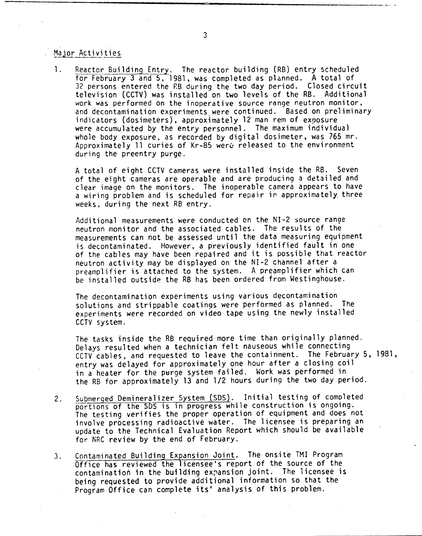## Major Activities

1. Reactor Building Entry. The reactor building (RB) entry scheduled for February 3 and 5, 1981, was completed as planned. A total of 32 persons entered the P.B during the two day period. Closed circuit television (CCTV) was installed on two levels of the RB. Additional work was performed on the inoperative source range neutron monitor, and decontamination experiments were continued. Based on preliminary indicators (dosimeters), approximately 12 man rem of exposure were accumulated by the entry personnel. The maximum individual whole body exposure, as recorded by digital dosimeter, was 765 mr. Approximately 11 curies of Kr-85 were released to the environment during the preentry purge.

A total of eight CCTV cameras were installed inside the RB. Seven of the eight cameras are operable and are producing a detailed and clear image on the monitors. The inoperable camera appears to have a wiring problem and is scheduled for repair ir approximately, three weeks, during the next RB entry.

Additional measurements were conducted on the NI-2 source range neutron monitor and the associated cables. The results of the measurements can not be assessed until the data measuring equipment is decontaminated. However, a previously identified fault in one of the cables may have been repaired and it is possible that reactor neutron activity may be displayed on the NI-2 channel after a preamplifier is attached to the system. A preamplifier which can be installed outside the RB has been ordered from Westinghouse.

The decontamination experiments using various decontamination solutions and strippable coatings were performed as planned. The experiments were recorded on video tape using the newly installed CCTV system.

The tasks inside the RB required more time than originally planned. Delays resulted when a technician felt nauseous while connecting CCTV cables, and requested to leave the containment. The February 5, 1981, entry was delayed for approximately one hour after a closing coil in a heater for the purge system failed. Work was performed in the RB for approximately 13 and 1/2 hours during the two day period.

- 2. Submerged Oemineralizer System (50S). Initial testing of completed portions of the 50S is in progress while construction is ongoing. The testing verifies the proper operation of equipment and does not involve processing radioactive water. The licensee is preparing an update to the Technical Evaluation Report which should be available for NRC review by the end of February.
- 3. Contaminated Building Expansion Joint. The onsite TMI Program Office has reviewed the icensee's report of the source of the contamination in the building expansion joint. The licensee is being requested to provide additional information so that the Program Office can complete its' analysis of this problem.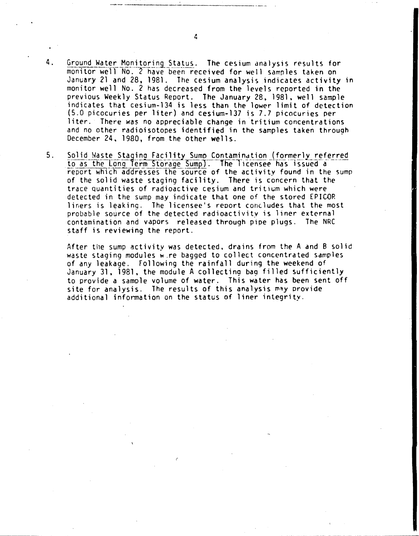- Ground Water Monitoring Status. The cesium analysis results for monitor well No. 2 have been received for well samples taken on January 21 and 28, 1981. The cesium analysis indicates activity in monitor well No. 2 has decreased from the levels reported in the previous Weekly Status Report. The January 28, 1981, well sample indicates that cesium-134 is less than the lower limit of detection (5.0 picocuries per liter) and cesium-137 is 7.7 picocuries per liter. There was no appreciable change in tritium concentrations and no other radioisotopes identified in the samples taken through December 24, 1980, from the other wells.
- $5<sub>1</sub>$ Solid Waste Staging Facility Sump Contamination (formerly referred to as the Long Term Storage Sump). The Ticensee has issued a report which addresses the source of the activity found in the sump of the solid waste staging facility. There is concern that the trace quantities of radioactive cesium and tritium which were detected in the sump may indicate that one of the stored EPICOR liners is leaking. The licensee's report concludes that the most probable source of the detected radioactivity is liner external contamination and vapors released through pipe plugs. The NRC staff is reviewing the report.

After the sump activity was detected, drains from the A and B solid waste staging modules wire bagged to collect concentrated samples of any leakage. Following the rainfall during the weekend of January 31, 1981, the module A collecting bag filled sufficiently to provide a sample volume of water. This water has been sent off site for analysis. The results of this analysis may provide additional information on the status of liner integrity.